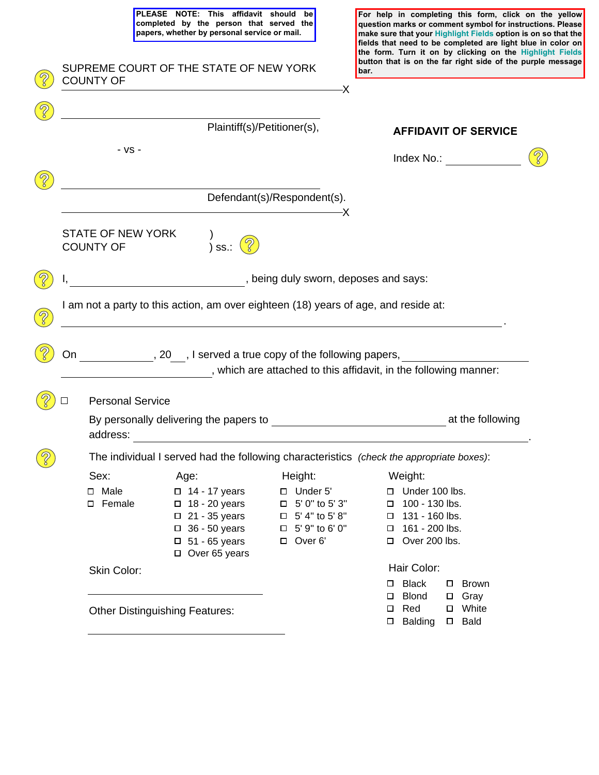3

| PLEASE NOTE: This affidavit should<br>be<br>completed by the person that served the<br>papers, whether by personal service or mail. | For help in completing this form, click on the yellow<br>question marks or comment symbol for instructions. Please<br>make sure that your Highlight Fields option is on so that the<br>fields that need to be completed are light blue in color on |
|-------------------------------------------------------------------------------------------------------------------------------------|----------------------------------------------------------------------------------------------------------------------------------------------------------------------------------------------------------------------------------------------------|
| SUPREME COURT OF THE STATE OF NEW YORK<br><b>COUNTY OF</b>                                                                          | the form. Turn it on by clicking on the Highlight Fields<br>button that is on the far right side of the purple message<br>bar.                                                                                                                     |
| Plaintiff(s)/Petitioner(s),                                                                                                         | <b>AFFIDAVIT OF SERVICE</b>                                                                                                                                                                                                                        |
| - VS -                                                                                                                              | Index No.:                                                                                                                                                                                                                                         |
| Defendant(s)/Respondent(s).                                                                                                         |                                                                                                                                                                                                                                                    |
| <b>CTATE OF NEW VODIZ</b>                                                                                                           |                                                                                                                                                                                                                                                    |

|               |                                                                                          |                                       | Plaintiff(s)/Petitioner(s),                                                                                                                  |                                                                                                                                                                                                                                                                                                                                                                                                                                                                                                                |                                                                                                       | <b>AFFIDAVIT OF SERVICE</b>                                                                                                                                                                                                    |
|---------------|------------------------------------------------------------------------------------------|---------------------------------------|----------------------------------------------------------------------------------------------------------------------------------------------|----------------------------------------------------------------------------------------------------------------------------------------------------------------------------------------------------------------------------------------------------------------------------------------------------------------------------------------------------------------------------------------------------------------------------------------------------------------------------------------------------------------|-------------------------------------------------------------------------------------------------------|--------------------------------------------------------------------------------------------------------------------------------------------------------------------------------------------------------------------------------|
|               |                                                                                          | - VS -                                |                                                                                                                                              |                                                                                                                                                                                                                                                                                                                                                                                                                                                                                                                |                                                                                                       | Index No.: The control of the control of the control of the control of the control of the control of the control of the control of the control of the control of the control of the control of the control of the control of t |
|               |                                                                                          |                                       |                                                                                                                                              | Defendant(s)/Respondent(s).<br>$\overline{\phantom{a}}$ $\overline{\phantom{a}}$ $\overline{\phantom{a}}$ $\overline{\phantom{a}}$ $\overline{\phantom{a}}$ $\overline{\phantom{a}}$ $\overline{\phantom{a}}$ $\overline{\phantom{a}}$ $\overline{\phantom{a}}$ $\overline{\phantom{a}}$ $\overline{\phantom{a}}$ $\overline{\phantom{a}}$ $\overline{\phantom{a}}$ $\overline{\phantom{a}}$ $\overline{\phantom{a}}$ $\overline{\phantom{a}}$ $\overline{\phantom{a}}$ $\overline{\phantom{a}}$ $\overline{\$ |                                                                                                       |                                                                                                                                                                                                                                |
|               |                                                                                          | STATE OF NEW YORK<br><b>COUNTY OF</b> | ) ss.:                                                                                                                                       |                                                                                                                                                                                                                                                                                                                                                                                                                                                                                                                |                                                                                                       |                                                                                                                                                                                                                                |
|               | being duly sworn, deposes and says:<br>I,                                                |                                       |                                                                                                                                              |                                                                                                                                                                                                                                                                                                                                                                                                                                                                                                                |                                                                                                       |                                                                                                                                                                                                                                |
|               | I am not a party to this action, am over eighteen (18) years of age, and reside at:      |                                       |                                                                                                                                              |                                                                                                                                                                                                                                                                                                                                                                                                                                                                                                                |                                                                                                       |                                                                                                                                                                                                                                |
| $\mathcal{S}$ |                                                                                          |                                       |                                                                                                                                              |                                                                                                                                                                                                                                                                                                                                                                                                                                                                                                                |                                                                                                       |                                                                                                                                                                                                                                |
|               | __________, 20___, I served a true copy of the following papers, _______________<br>On   |                                       |                                                                                                                                              |                                                                                                                                                                                                                                                                                                                                                                                                                                                                                                                |                                                                                                       |                                                                                                                                                                                                                                |
|               |                                                                                          |                                       |                                                                                                                                              | , which are attached to this affidavit, in the following manner:                                                                                                                                                                                                                                                                                                                                                                                                                                               |                                                                                                       |                                                                                                                                                                                                                                |
|               |                                                                                          | <b>Personal Service</b>               |                                                                                                                                              |                                                                                                                                                                                                                                                                                                                                                                                                                                                                                                                |                                                                                                       |                                                                                                                                                                                                                                |
|               | address:<br><u> 1989 - Jan Sterlinger, fransk politiker (d. 1989)</u>                    |                                       |                                                                                                                                              |                                                                                                                                                                                                                                                                                                                                                                                                                                                                                                                |                                                                                                       |                                                                                                                                                                                                                                |
|               | The individual I served had the following characteristics (check the appropriate boxes): |                                       |                                                                                                                                              |                                                                                                                                                                                                                                                                                                                                                                                                                                                                                                                |                                                                                                       |                                                                                                                                                                                                                                |
|               |                                                                                          | Sex:                                  | Age:                                                                                                                                         | Height:                                                                                                                                                                                                                                                                                                                                                                                                                                                                                                        | Weight:                                                                                               |                                                                                                                                                                                                                                |
|               |                                                                                          | □ Male<br>□ Female                    | $\Box$ 14 - 17 years<br>$\Box$ 18 - 20 years<br>$\Box$ 21 - 35 years<br>$\Box$ 36 - 50 years<br>$\Box$ 51 - 65 years<br>$\Box$ Over 65 years | $\Box$ Under 5'<br>$\Box$ 5' 0" to 5' 3"<br>$\Box$ 5' 4" to 5' 8"<br>$\Box$ 5' 9" to 6' 0"<br>D Over 6'                                                                                                                                                                                                                                                                                                                                                                                                        | Under 100 lbs.<br>$\Box$ 100 - 130 lbs.<br>$\Box$ 131 - 160 lbs.<br>□ 161 - 200 lbs.<br>Over 200 lbs. |                                                                                                                                                                                                                                |
|               | Skin Color:                                                                              |                                       | Hair Color:                                                                                                                                  |                                                                                                                                                                                                                                                                                                                                                                                                                                                                                                                |                                                                                                       |                                                                                                                                                                                                                                |
|               | <b>Other Distinguishing Features:</b>                                                    |                                       |                                                                                                                                              | <b>Black</b><br>□<br><b>Blond</b><br>□<br>Red<br><b>Balding</b><br>□                                                                                                                                                                                                                                                                                                                                                                                                                                           | $\square$ Brown<br>$\Box$ Gray<br>□ White<br>$\square$ Bald                                           |                                                                                                                                                                                                                                |